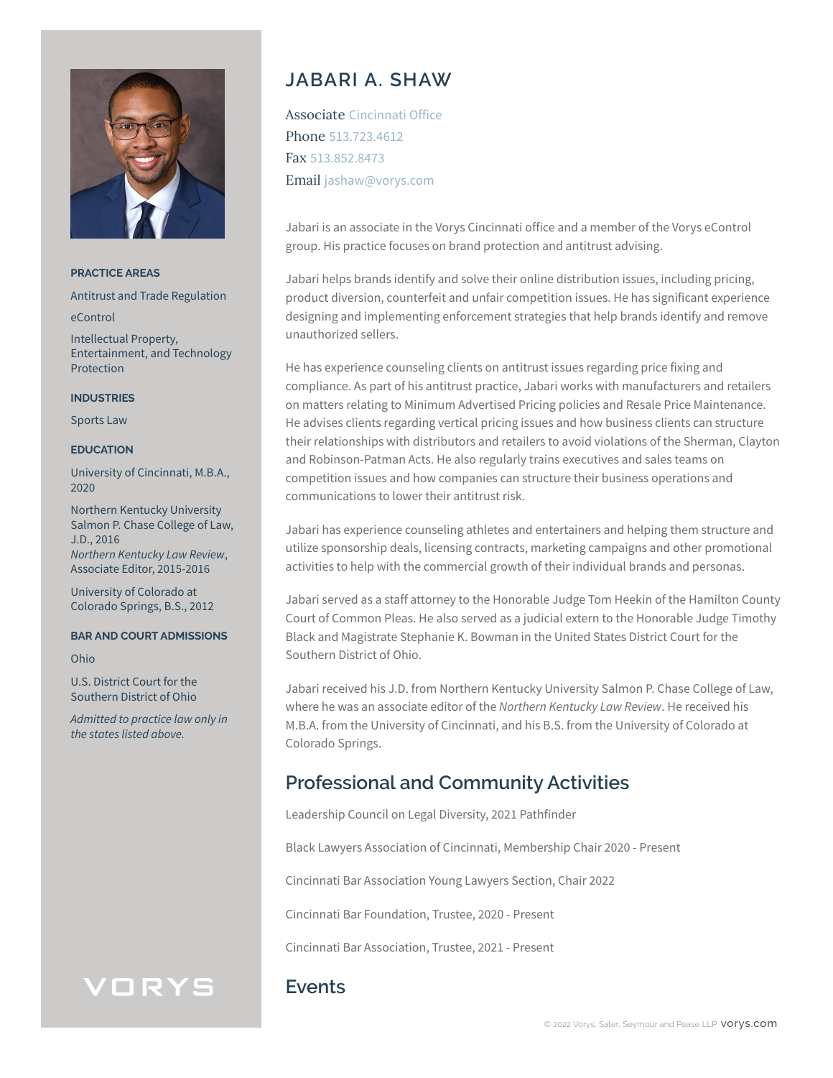

**PRACTICE AREAS**

Antitrust and Trade Regulation

eControl

Intellectual Property, Entertainment, and Technology Protection

#### **INDUSTRIES**

Sports Law

### **EDUCATION**

University of Cincinnati, M.B.A., 2020

Northern Kentucky University Salmon P. Chase College of Law, J.D., 2016 *Northern Kentucky Law Review*, Associate Editor, 2015-2016

University of Colorado at Colorado Springs, B.S., 2012

#### **BAR AND COURT ADMISSIONS**

Ohio

U.S. District Court for the Southern District of Ohio

*Admitted to practice law only in the states listed above.*

VORYS

# **JABARI A. SHAW**

Associate Cincinnati Office Phone 513.723.4612 Fax 513.852.8473 Email jashaw@vorys.com

Jabari is an associate in the Vorys Cincinnati office and a member of the Vorys eControl group. His practice focuses on brand protection and antitrust advising.

Jabari helps brands identify and solve their online distribution issues, including pricing, product diversion, counterfeit and unfair competition issues. He has significant experience designing and implementing enforcement strategies that help brands identify and remove unauthorized sellers.

He has experience counseling clients on antitrust issues regarding price fixing and compliance. As part of his antitrust practice, Jabari works with manufacturers and retailers on matters relating to Minimum Advertised Pricing policies and Resale Price Maintenance. He advises clients regarding vertical pricing issues and how business clients can structure their relationships with distributors and retailers to avoid violations of the Sherman, Clayton and Robinson-Patman Acts. He also regularly trains executives and sales teams on competition issues and how companies can structure their business operations and communications to lower their antitrust risk.

Jabari has experience counseling athletes and entertainers and helping them structure and utilize sponsorship deals, licensing contracts, marketing campaigns and other promotional activities to help with the commercial growth of their individual brands and personas.

Jabari served as a staff attorney to the Honorable Judge Tom Heekin of the Hamilton County Court of Common Pleas. He also served as a judicial extern to the Honorable Judge Timothy Black and Magistrate Stephanie K. Bowman in the United States District Court for the Southern District of Ohio.

Jabari received his J.D. from Northern Kentucky University Salmon P. Chase College of Law, where he was an associate editor of the *Northern Kentucky Law Review*. He received his M.B.A. from the University of Cincinnati, and his B.S. from the University of Colorado at Colorado Springs.

## **Professional and Community Activities**

Leadership Council on Legal Diversity, 2021 Pathfinder

Black Lawyers Association of Cincinnati, Membership Chair 2020 - Present

Cincinnati Bar Association Young Lawyers Section, Chair 2022

Cincinnati Bar Foundation, Trustee, 2020 - Present

Cincinnati Bar Association, Trustee, 2021 - Present

## **Events**

### © 2022 Vorys, Sater, Seymour and Pease LLP **VOrys.com**